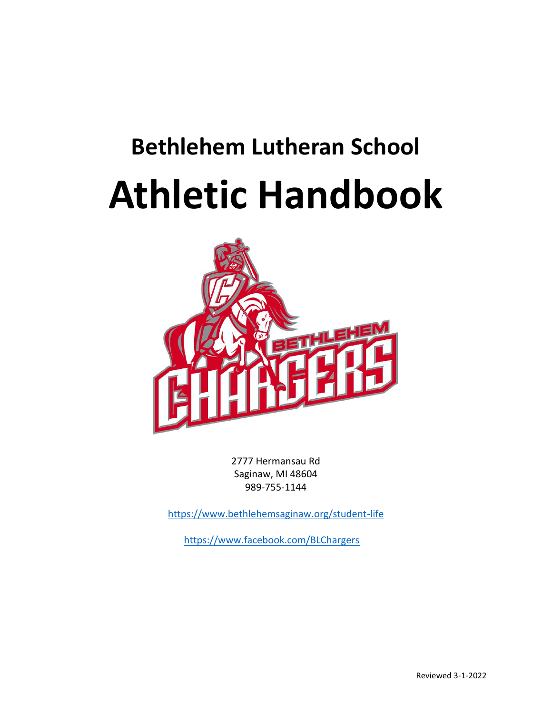# **Bethlehem Lutheran School Athletic Handbook**



2777 Hermansau Rd Saginaw, MI 48604 989-755-1144

<https://www.bethlehemsaginaw.org/student-life>

<https://www.facebook.com/BLChargers>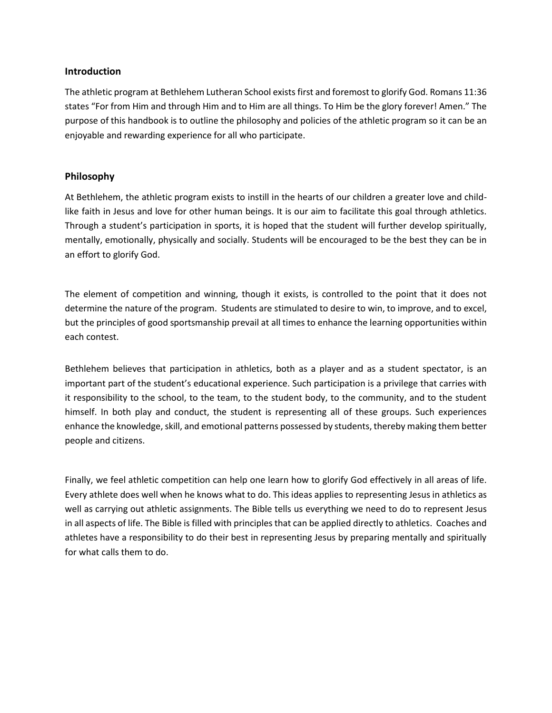# **Introduction**

The athletic program at Bethlehem Lutheran School exists first and foremost to glorify God. Romans 11:36 states "For from Him and through Him and to Him are all things. To Him be the glory forever! Amen." The purpose of this handbook is to outline the philosophy and policies of the athletic program so it can be an enjoyable and rewarding experience for all who participate.

# **Philosophy**

At Bethlehem, the athletic program exists to instill in the hearts of our children a greater love and childlike faith in Jesus and love for other human beings. It is our aim to facilitate this goal through athletics. Through a student's participation in sports, it is hoped that the student will further develop spiritually, mentally, emotionally, physically and socially. Students will be encouraged to be the best they can be in an effort to glorify God.

The element of competition and winning, though it exists, is controlled to the point that it does not determine the nature of the program. Students are stimulated to desire to win, to improve, and to excel, but the principles of good sportsmanship prevail at all times to enhance the learning opportunities within each contest.

Bethlehem believes that participation in athletics, both as a player and as a student spectator, is an important part of the student's educational experience. Such participation is a privilege that carries with it responsibility to the school, to the team, to the student body, to the community, and to the student himself. In both play and conduct, the student is representing all of these groups. Such experiences enhance the knowledge, skill, and emotional patterns possessed by students, thereby making them better people and citizens.

Finally, we feel athletic competition can help one learn how to glorify God effectively in all areas of life. Every athlete does well when he knows what to do. This ideas applies to representing Jesus in athletics as well as carrying out athletic assignments. The Bible tells us everything we need to do to represent Jesus in all aspects of life. The Bible is filled with principles that can be applied directly to athletics. Coaches and athletes have a responsibility to do their best in representing Jesus by preparing mentally and spiritually for what calls them to do.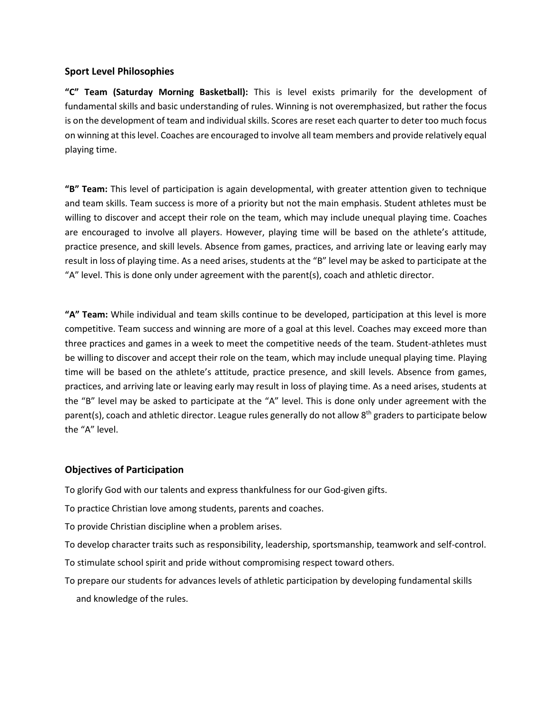## **Sport Level Philosophies**

**"C" Team (Saturday Morning Basketball):** This is level exists primarily for the development of fundamental skills and basic understanding of rules. Winning is not overemphasized, but rather the focus is on the development of team and individual skills. Scores are reset each quarter to deter too much focus on winning at this level. Coaches are encouraged to involve all team members and provide relatively equal playing time.

**"B" Team:** This level of participation is again developmental, with greater attention given to technique and team skills. Team success is more of a priority but not the main emphasis. Student athletes must be willing to discover and accept their role on the team, which may include unequal playing time. Coaches are encouraged to involve all players. However, playing time will be based on the athlete's attitude, practice presence, and skill levels. Absence from games, practices, and arriving late or leaving early may result in loss of playing time. As a need arises, students at the "B" level may be asked to participate at the "A" level. This is done only under agreement with the parent(s), coach and athletic director.

**"A" Team:** While individual and team skills continue to be developed, participation at this level is more competitive. Team success and winning are more of a goal at this level. Coaches may exceed more than three practices and games in a week to meet the competitive needs of the team. Student-athletes must be willing to discover and accept their role on the team, which may include unequal playing time. Playing time will be based on the athlete's attitude, practice presence, and skill levels. Absence from games, practices, and arriving late or leaving early may result in loss of playing time. As a need arises, students at the "B" level may be asked to participate at the "A" level. This is done only under agreement with the parent(s), coach and athletic director. League rules generally do not allow  $8<sup>th</sup>$  graders to participate below the "A" level.

# **Objectives of Participation**

To glorify God with our talents and express thankfulness for our God-given gifts.

To practice Christian love among students, parents and coaches.

To provide Christian discipline when a problem arises.

To develop character traits such as responsibility, leadership, sportsmanship, teamwork and self-control.

To stimulate school spirit and pride without compromising respect toward others.

To prepare our students for advances levels of athletic participation by developing fundamental skills and knowledge of the rules.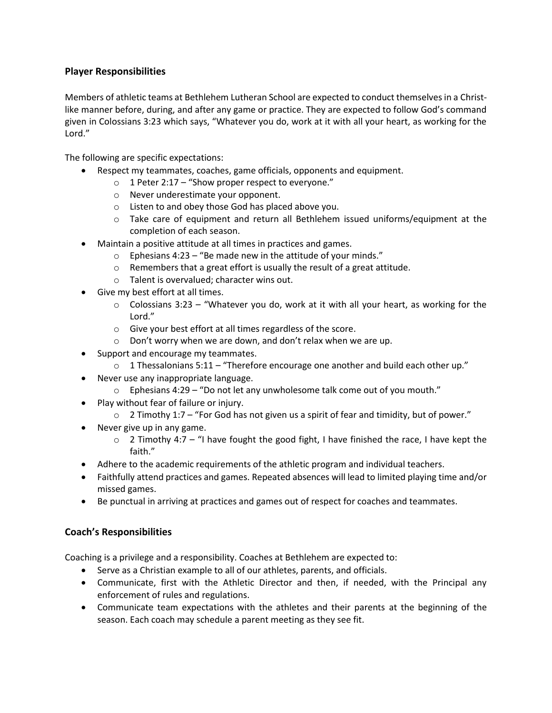# **Player Responsibilities**

Members of athletic teams at Bethlehem Lutheran School are expected to conduct themselves in a Christlike manner before, during, and after any game or practice. They are expected to follow God's command given in Colossians 3:23 which says, "Whatever you do, work at it with all your heart, as working for the Lord."

The following are specific expectations:

- Respect my teammates, coaches, game officials, opponents and equipment.
	- $\circ$  1 Peter 2:17 "Show proper respect to everyone."
	- o Never underestimate your opponent.
	- o Listen to and obey those God has placed above you.
	- $\circ$  Take care of equipment and return all Bethlehem issued uniforms/equipment at the completion of each season.
- Maintain a positive attitude at all times in practices and games.
	- $\circ$  Ephesians 4:23 "Be made new in the attitude of your minds."
	- o Remembers that a great effort is usually the result of a great attitude.
	- o Talent is overvalued; character wins out.
- Give my best effort at all times.
	- $\circ$  Colossians 3:23 "Whatever you do, work at it with all your heart, as working for the Lord."
	- o Give your best effort at all times regardless of the score.
	- o Don't worry when we are down, and don't relax when we are up.
- Support and encourage my teammates.
	- $\circ$  1 Thessalonians 5:11 "Therefore encourage one another and build each other up."
- Never use any inappropriate language.
	- o Ephesians 4:29 "Do not let any unwholesome talk come out of you mouth."
- Play without fear of failure or injury.
	- $\circ$  2 Timothy 1:7 "For God has not given us a spirit of fear and timidity, but of power."
- Never give up in any game.
	- $\circ$  2 Timothy 4:7 "I have fought the good fight, I have finished the race, I have kept the faith."
- Adhere to the academic requirements of the athletic program and individual teachers.
- Faithfully attend practices and games. Repeated absences will lead to limited playing time and/or missed games.
- Be punctual in arriving at practices and games out of respect for coaches and teammates.

# **Coach's Responsibilities**

Coaching is a privilege and a responsibility. Coaches at Bethlehem are expected to:

- Serve as a Christian example to all of our athletes, parents, and officials.
- Communicate, first with the Athletic Director and then, if needed, with the Principal any enforcement of rules and regulations.
- Communicate team expectations with the athletes and their parents at the beginning of the season. Each coach may schedule a parent meeting as they see fit.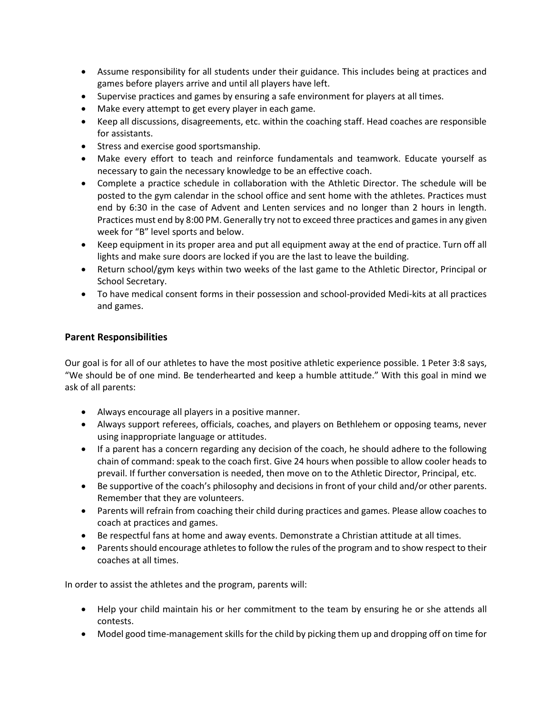- Assume responsibility for all students under their guidance. This includes being at practices and games before players arrive and until all players have left.
- Supervise practices and games by ensuring a safe environment for players at all times.
- Make every attempt to get every player in each game.
- Keep all discussions, disagreements, etc. within the coaching staff. Head coaches are responsible for assistants.
- Stress and exercise good sportsmanship.
- Make every effort to teach and reinforce fundamentals and teamwork. Educate yourself as necessary to gain the necessary knowledge to be an effective coach.
- Complete a practice schedule in collaboration with the Athletic Director. The schedule will be posted to the gym calendar in the school office and sent home with the athletes. Practices must end by 6:30 in the case of Advent and Lenten services and no longer than 2 hours in length. Practices must end by 8:00 PM. Generally try not to exceed three practices and games in any given week for "B" level sports and below.
- Keep equipment in its proper area and put all equipment away at the end of practice. Turn off all lights and make sure doors are locked if you are the last to leave the building.
- Return school/gym keys within two weeks of the last game to the Athletic Director, Principal or School Secretary.
- To have medical consent forms in their possession and school-provided Medi-kits at all practices and games.

# **Parent Responsibilities**

Our goal is for all of our athletes to have the most positive athletic experience possible. 1 Peter 3:8 says, "We should be of one mind. Be tenderhearted and keep a humble attitude." With this goal in mind we ask of all parents:

- Always encourage all players in a positive manner.
- Always support referees, officials, coaches, and players on Bethlehem or opposing teams, never using inappropriate language or attitudes.
- If a parent has a concern regarding any decision of the coach, he should adhere to the following chain of command: speak to the coach first. Give 24 hours when possible to allow cooler heads to prevail. If further conversation is needed, then move on to the Athletic Director, Principal, etc.
- Be supportive of the coach's philosophy and decisions in front of your child and/or other parents. Remember that they are volunteers.
- Parents will refrain from coaching their child during practices and games. Please allow coaches to coach at practices and games.
- Be respectful fans at home and away events. Demonstrate a Christian attitude at all times.
- Parents should encourage athletes to follow the rules of the program and to show respect to their coaches at all times.

In order to assist the athletes and the program, parents will:

- Help your child maintain his or her commitment to the team by ensuring he or she attends all contests.
- Model good time-management skills for the child by picking them up and dropping off on time for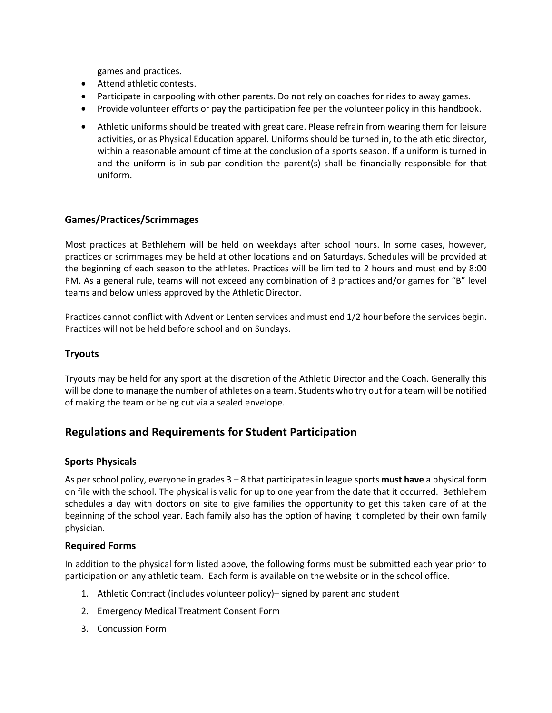games and practices.

- Attend athletic contests.
- Participate in carpooling with other parents. Do not rely on coaches for rides to away games.
- Provide volunteer efforts or pay the participation fee per the volunteer policy in this handbook.
- Athletic uniforms should be treated with great care. Please refrain from wearing them for leisure activities, or as Physical Education apparel. Uniforms should be turned in, to the athletic director, within a reasonable amount of time at the conclusion of a sports season. If a uniform is turned in and the uniform is in sub-par condition the parent(s) shall be financially responsible for that uniform.

# **Games/Practices/Scrimmages**

Most practices at Bethlehem will be held on weekdays after school hours. In some cases, however, practices or scrimmages may be held at other locations and on Saturdays. Schedules will be provided at the beginning of each season to the athletes. Practices will be limited to 2 hours and must end by 8:00 PM. As a general rule, teams will not exceed any combination of 3 practices and/or games for "B" level teams and below unless approved by the Athletic Director.

Practices cannot conflict with Advent or Lenten services and must end 1/2 hour before the services begin. Practices will not be held before school and on Sundays.

# **Tryouts**

Tryouts may be held for any sport at the discretion of the Athletic Director and the Coach. Generally this will be done to manage the number of athletes on a team. Students who try out for a team will be notified of making the team or being cut via a sealed envelope.

# **Regulations and Requirements for Student Participation**

# **Sports Physicals**

As per school policy, everyone in grades 3 – 8 that participates in league sports **must have** a physical form on file with the school. The physical is valid for up to one year from the date that it occurred. Bethlehem schedules a day with doctors on site to give families the opportunity to get this taken care of at the beginning of the school year. Each family also has the option of having it completed by their own family physician.

# **Required Forms**

In addition to the physical form listed above, the following forms must be submitted each year prior to participation on any athletic team. Each form is available on the website or in the school office.

- 1. Athletic Contract (includes volunteer policy)– signed by parent and student
- 2. Emergency Medical Treatment Consent Form
- 3. Concussion Form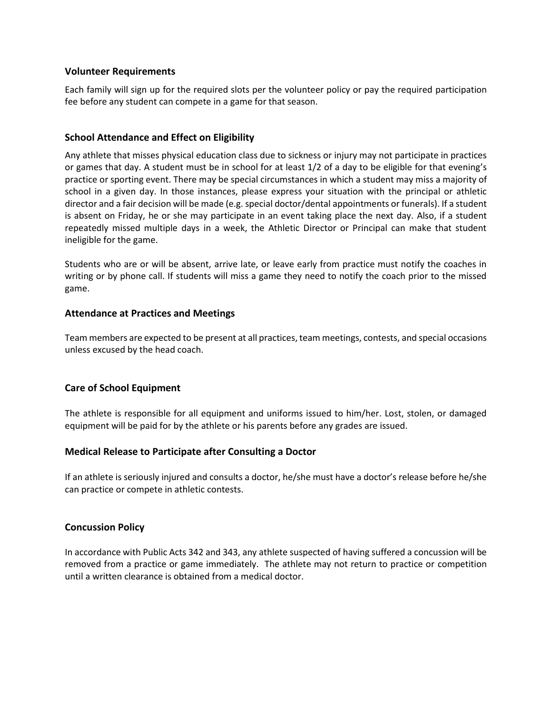#### **Volunteer Requirements**

Each family will sign up for the required slots per the volunteer policy or pay the required participation fee before any student can compete in a game for that season.

# **School Attendance and Effect on Eligibility**

Any athlete that misses physical education class due to sickness or injury may not participate in practices or games that day. A student must be in school for at least 1/2 of a day to be eligible for that evening's practice or sporting event. There may be special circumstances in which a student may miss a majority of school in a given day. In those instances, please express your situation with the principal or athletic director and a fair decision will be made (e.g. special doctor/dental appointments or funerals). If a student is absent on Friday, he or she may participate in an event taking place the next day. Also, if a student repeatedly missed multiple days in a week, the Athletic Director or Principal can make that student ineligible for the game.

Students who are or will be absent, arrive late, or leave early from practice must notify the coaches in writing or by phone call. If students will miss a game they need to notify the coach prior to the missed game.

#### **Attendance at Practices and Meetings**

Team members are expected to be present at all practices, team meetings, contests, and special occasions unless excused by the head coach.

# **Care of School Equipment**

The athlete is responsible for all equipment and uniforms issued to him/her. Lost, stolen, or damaged equipment will be paid for by the athlete or his parents before any grades are issued.

# **Medical Release to Participate after Consulting a Doctor**

If an athlete is seriously injured and consults a doctor, he/she must have a doctor's release before he/she can practice or compete in athletic contests.

# **Concussion Policy**

In accordance with Public Acts 342 and 343, any athlete suspected of having suffered a concussion will be removed from a practice or game immediately. The athlete may not return to practice or competition until a written clearance is obtained from a medical doctor.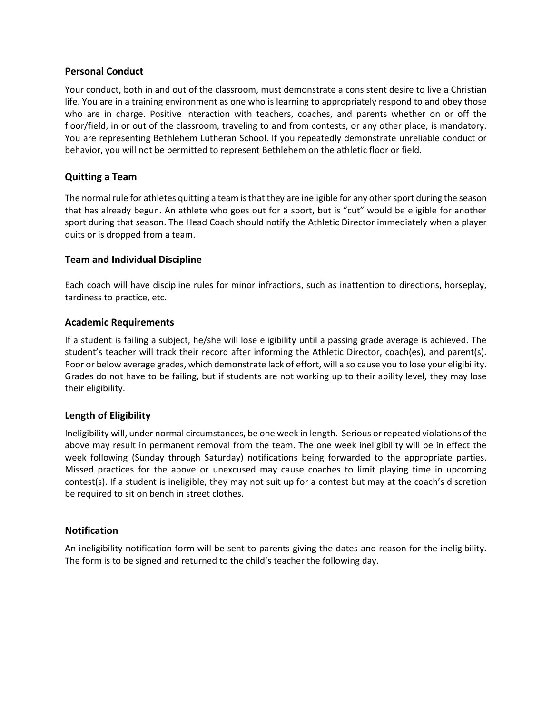# **Personal Conduct**

Your conduct, both in and out of the classroom, must demonstrate a consistent desire to live a Christian life. You are in a training environment as one who is learning to appropriately respond to and obey those who are in charge. Positive interaction with teachers, coaches, and parents whether on or off the floor/field, in or out of the classroom, traveling to and from contests, or any other place, is mandatory. You are representing Bethlehem Lutheran School. If you repeatedly demonstrate unreliable conduct or behavior, you will not be permitted to represent Bethlehem on the athletic floor or field.

# **Quitting a Team**

The normal rule for athletes quitting a team is that they are ineligible for any other sport during the season that has already begun. An athlete who goes out for a sport, but is "cut" would be eligible for another sport during that season. The Head Coach should notify the Athletic Director immediately when a player quits or is dropped from a team.

# **Team and Individual Discipline**

Each coach will have discipline rules for minor infractions, such as inattention to directions, horseplay, tardiness to practice, etc.

# **Academic Requirements**

If a student is failing a subject, he/she will lose eligibility until a passing grade average is achieved. The student's teacher will track their record after informing the Athletic Director, coach(es), and parent(s). Poor or below average grades, which demonstrate lack of effort, will also cause you to lose your eligibility. Grades do not have to be failing, but if students are not working up to their ability level, they may lose their eligibility.

# **Length of Eligibility**

Ineligibility will, under normal circumstances, be one week in length. Serious or repeated violations of the above may result in permanent removal from the team. The one week ineligibility will be in effect the week following (Sunday through Saturday) notifications being forwarded to the appropriate parties. Missed practices for the above or unexcused may cause coaches to limit playing time in upcoming contest(s). If a student is ineligible, they may not suit up for a contest but may at the coach's discretion be required to sit on bench in street clothes.

# **Notification**

An ineligibility notification form will be sent to parents giving the dates and reason for the ineligibility. The form is to be signed and returned to the child's teacher the following day.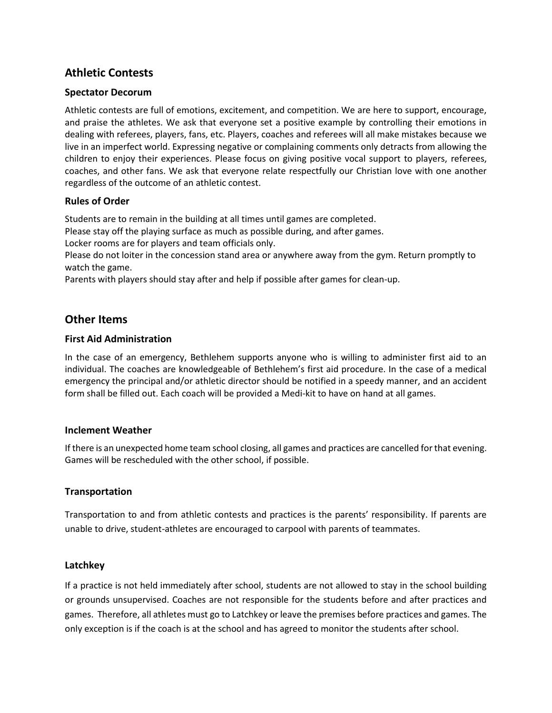# **Athletic Contests**

# **Spectator Decorum**

Athletic contests are full of emotions, excitement, and competition. We are here to support, encourage, and praise the athletes. We ask that everyone set a positive example by controlling their emotions in dealing with referees, players, fans, etc. Players, coaches and referees will all make mistakes because we live in an imperfect world. Expressing negative or complaining comments only detracts from allowing the children to enjoy their experiences. Please focus on giving positive vocal support to players, referees, coaches, and other fans. We ask that everyone relate respectfully our Christian love with one another regardless of the outcome of an athletic contest.

# **Rules of Order**

Students are to remain in the building at all times until games are completed.

Please stay off the playing surface as much as possible during, and after games.

Locker rooms are for players and team officials only.

Please do not loiter in the concession stand area or anywhere away from the gym. Return promptly to watch the game.

Parents with players should stay after and help if possible after games for clean-up.

# **Other Items**

# **First Aid Administration**

In the case of an emergency, Bethlehem supports anyone who is willing to administer first aid to an individual. The coaches are knowledgeable of Bethlehem's first aid procedure. In the case of a medical emergency the principal and/or athletic director should be notified in a speedy manner, and an accident form shall be filled out. Each coach will be provided a Medi-kit to have on hand at all games.

# **Inclement Weather**

If there is an unexpected home team school closing, all games and practices are cancelled for that evening. Games will be rescheduled with the other school, if possible.

# **Transportation**

Transportation to and from athletic contests and practices is the parents' responsibility. If parents are unable to drive, student-athletes are encouraged to carpool with parents of teammates.

# **Latchkey**

If a practice is not held immediately after school, students are not allowed to stay in the school building or grounds unsupervised. Coaches are not responsible for the students before and after practices and games. Therefore, all athletes must go to Latchkey or leave the premises before practices and games. The only exception is if the coach is at the school and has agreed to monitor the students after school.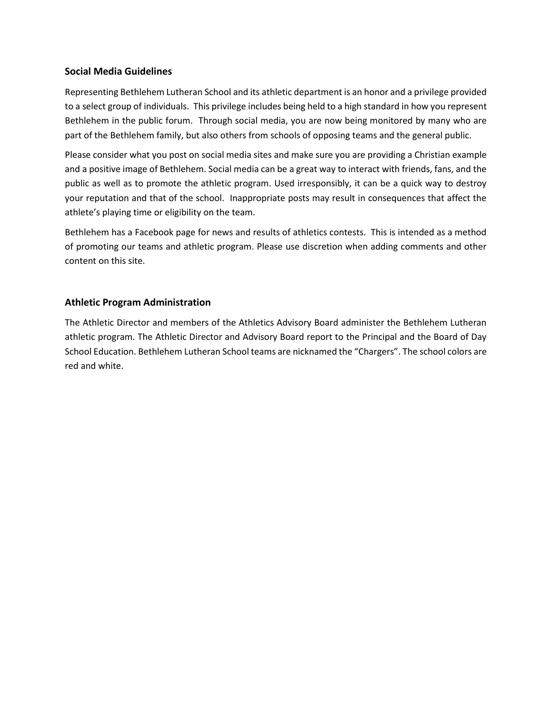# **Social Media Guidelines**

Representing Bethlehem Lutheran School and its athletic department is an honor and a privilege provided to a select group of individuals. This privilege includes being held to a high standard in how you represent Bethlehem in the public forum. Through social media, you are now being monitored by many who are part of the Bethlehem family, but also others from schools of opposing teams and the general public.

Please consider what you post on social media sites and make sure you are providing a Christian example and a positive image of Bethlehem. Social media can be a great way to interact with friends, fans, and the public as well as to promote the athletic program. Used irresponsibly, it can be a quick way to destroy your reputation and that of the school. Inappropriate posts may result in consequences that affect the athlete's playing time or eligibility on the team.

Bethlehem has a Facebook page for news and results of athletics contests. This is intended as a method of promoting our teams and athletic program. Please use discretion when adding comments and other content on this site.

# **Athletic Program Administration**

The Athletic Director and members of the Athletics Advisory Board administer the Bethlehem Lutheran athletic program. The Athletic Director and Advisory Board report to the Principal and the Board of Day School Education. Bethlehem Lutheran School teams are nicknamed the "Chargers". The school colors are red and white.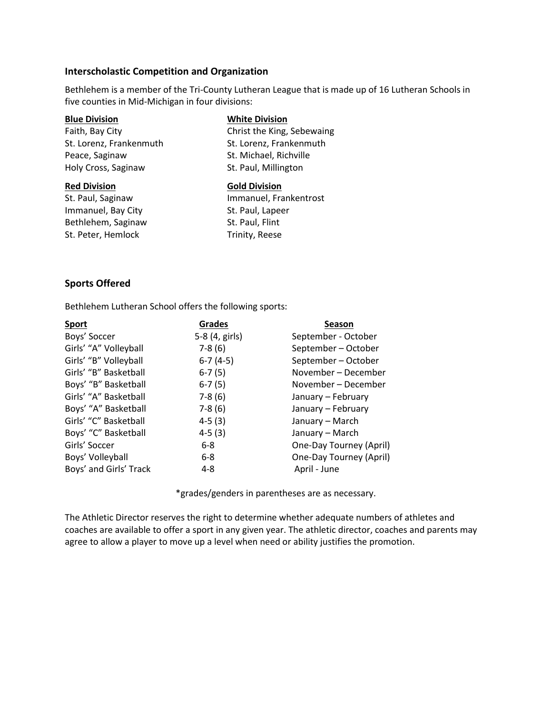#### **Interscholastic Competition and Organization**

Bethlehem is a member of the Tri-County Lutheran League that is made up of 16 Lutheran Schools in five counties in Mid-Michigan in four divisions:

Peace, Saginaw St. Michael, Richville Holy Cross, Saginaw St. Paul, Millington

Immanuel, Bay City St. Paul, Lapeer Bethlehem, Saginaw St. Paul, Flint St. Peter, Hemlock Trinity, Reese

#### **Blue Division White Division**

Faith, Bay City Christ the King, Sebewaing St. Lorenz, Frankenmuth St. Lorenz, Frankenmuth

#### **Red Division Gold Division**

St. Paul, Saginaw Immanuel, Frankentrost

# **Sports Offered**

Bethlehem Lutheran School offers the following sports:

| <b>Sport</b>           | <b>Grades</b>  | <b>Season</b>           |
|------------------------|----------------|-------------------------|
| Boys' Soccer           | 5-8 (4, girls) | September - October     |
| Girls' "A" Volleyball  | $7-8(6)$       | September - October     |
| Girls' "B" Volleyball  | $6-7(4-5)$     | September - October     |
| Girls' "B" Basketball  | $6-7(5)$       | November – December     |
| Boys' "B" Basketball   | $6-7(5)$       | November - December     |
| Girls' "A" Basketball  | $7-8(6)$       | January - February      |
| Boys' "A" Basketball   | $7-8(6)$       | January - February      |
| Girls' "C" Basketball  | $4-5(3)$       | January - March         |
| Boys' "C" Basketball   | $4-5(3)$       | January - March         |
| Girls' Soccer          | $6-8$          | One-Day Tourney (April) |
| Boys' Volleyball       | $6 - 8$        | One-Day Tourney (April) |
| Boys' and Girls' Track | 4-8            | April - June            |

\*grades/genders in parentheses are as necessary.

The Athletic Director reserves the right to determine whether adequate numbers of athletes and coaches are available to offer a sport in any given year. The athletic director, coaches and parents may agree to allow a player to move up a level when need or ability justifies the promotion.